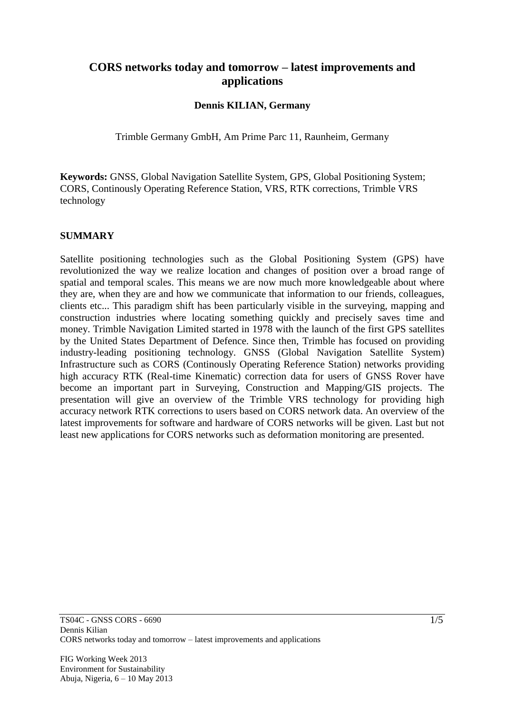# **CORS networks today and tomorrow – latest improvements and applications**

### **Dennis KILIAN, Germany**

Trimble Germany GmbH, Am Prime Parc 11, Raunheim, Germany

**Keywords:** GNSS, Global Navigation Satellite System, GPS, Global Positioning System; CORS, Continously Operating Reference Station, VRS, RTK corrections, Trimble VRS technology

### **SUMMARY**

Satellite positioning technologies such as the Global Positioning System (GPS) have revolutionized the way we realize location and changes of position over a broad range of spatial and temporal scales. This means we are now much more knowledgeable about where they are, when they are and how we communicate that information to our friends, colleagues, clients etc... This paradigm shift has been particularly visible in the surveying, mapping and construction industries where locating something quickly and precisely saves time and money. Trimble Navigation Limited started in 1978 with the launch of the first GPS satellites by the United States Department of Defence. Since then, Trimble has focused on providing industry-leading positioning technology. GNSS (Global Navigation Satellite System) Infrastructure such as CORS (Continously Operating Reference Station) networks providing high accuracy RTK (Real-time Kinematic) correction data for users of GNSS Rover have become an important part in Surveying, Construction and Mapping/GIS projects. The presentation will give an overview of the Trimble VRS technology for providing high accuracy network RTK corrections to users based on CORS network data. An overview of the latest improvements for software and hardware of CORS networks will be given. Last but not least new applications for CORS networks such as deformation monitoring are presented.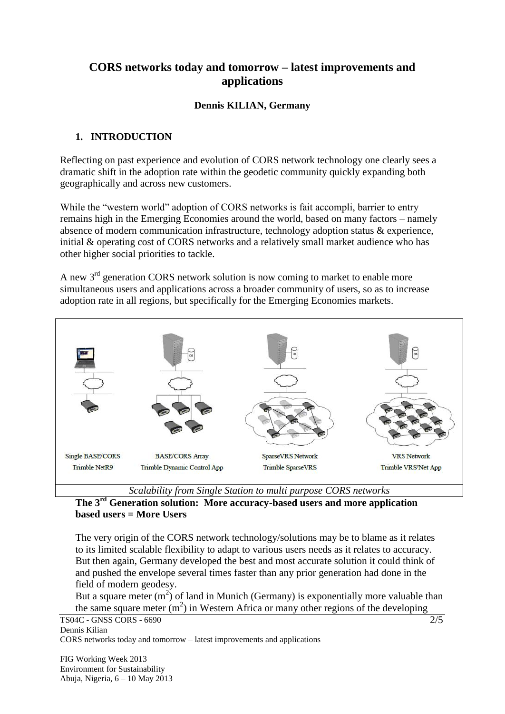# **CORS networks today and tomorrow – latest improvements and applications**

## **Dennis KILIAN, Germany**

## **1. INTRODUCTION**

Reflecting on past experience and evolution of CORS network technology one clearly sees a dramatic shift in the adoption rate within the geodetic community quickly expanding both geographically and across new customers.

While the "western world" adoption of CORS networks is fait accompli, barrier to entry remains high in the Emerging Economies around the world, based on many factors – namely absence of modern communication infrastructure, technology adoption status & experience, initial & operating cost of CORS networks and a relatively small market audience who has other higher social priorities to tackle.

A new 3rd generation CORS network solution is now coming to market to enable more simultaneous users and applications across a broader community of users, so as to increase adoption rate in all regions, but specifically for the Emerging Economies markets.



*Scalability from Single Station to multi purpose CORS networks*

### **The 3rd Generation solution: More accuracy-based users and more application based users = More Users**

The very origin of the CORS network technology/solutions may be to blame as it relates to its limited scalable flexibility to adapt to various users needs as it relates to accuracy. But then again, Germany developed the best and most accurate solution it could think of and pushed the envelope several times faster than any prior generation had done in the field of modern geodesy.

But a square meter  $(m^2)$  of land in Munich (Germany) is exponentially more valuable than the same square meter  $(m^2)$  in Western Africa or many other regions of the developing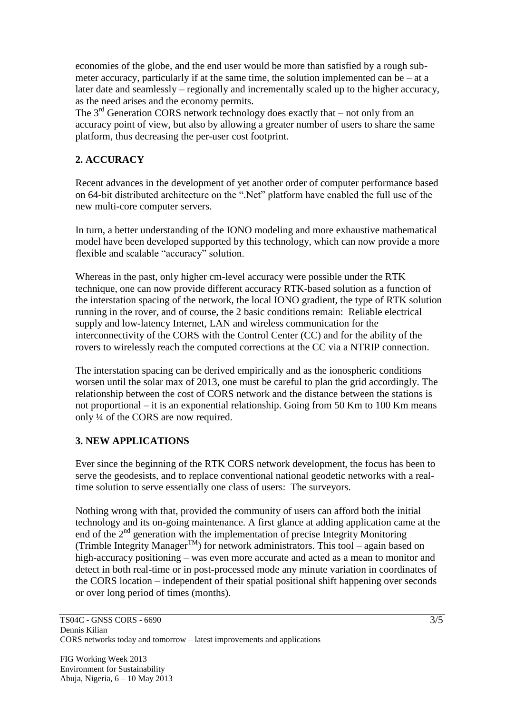economies of the globe, and the end user would be more than satisfied by a rough submeter accuracy, particularly if at the same time, the solution implemented can be  $-$  at a later date and seamlessly – regionally and incrementally scaled up to the higher accuracy, as the need arises and the economy permits.

The  $3<sup>rd</sup>$  Generation CORS network technology does exactly that – not only from an accuracy point of view, but also by allowing a greater number of users to share the same platform, thus decreasing the per-user cost footprint.

# **2. ACCURACY**

Recent advances in the development of yet another order of computer performance based on 64-bit distributed architecture on the ".Net" platform have enabled the full use of the new multi-core computer servers.

In turn, a better understanding of the IONO modeling and more exhaustive mathematical model have been developed supported by this technology, which can now provide a more flexible and scalable "accuracy" solution.

Whereas in the past, only higher cm-level accuracy were possible under the RTK technique, one can now provide different accuracy RTK-based solution as a function of the interstation spacing of the network, the local IONO gradient, the type of RTK solution running in the rover, and of course, the 2 basic conditions remain: Reliable electrical supply and low-latency Internet, LAN and wireless communication for the interconnectivity of the CORS with the Control Center (CC) and for the ability of the rovers to wirelessly reach the computed corrections at the CC via a NTRIP connection.

The interstation spacing can be derived empirically and as the ionospheric conditions worsen until the solar max of 2013, one must be careful to plan the grid accordingly. The relationship between the cost of CORS network and the distance between the stations is not proportional – it is an exponential relationship. Going from 50 Km to 100 Km means only ¼ of the CORS are now required.

## **3. NEW APPLICATIONS**

Ever since the beginning of the RTK CORS network development, the focus has been to serve the geodesists, and to replace conventional national geodetic networks with a realtime solution to serve essentially one class of users: The surveyors.

Nothing wrong with that, provided the community of users can afford both the initial technology and its on-going maintenance. A first glance at adding application came at the end of the  $2<sup>nd</sup>$  generation with the implementation of precise Integrity Monitoring  $(Trimble Integrity Manager^{TM})$  for network administrators. This tool – again based on high-accuracy positioning – was even more accurate and acted as a mean to monitor and detect in both real-time or in post-processed mode any minute variation in coordinates of the CORS location – independent of their spatial positional shift happening over seconds or over long period of times (months).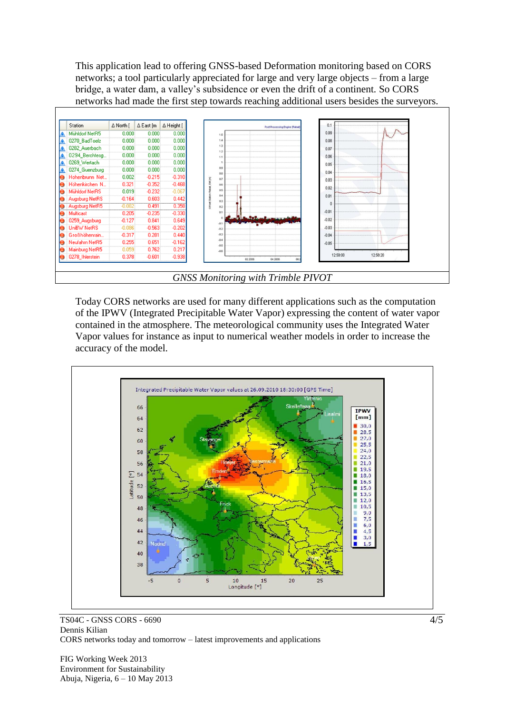This application lead to offering GNSS-based Deformation monitoring based on CORS networks; a tool particularly appreciated for large and very large objects – from a large bridge, a water dam, a valley's subsidence or even the drift of a continent. So CORS networks had made the first step towards reaching additional users besides the surveyors.



Today CORS networks are used for many different applications such as the computation of the IPWV (Integrated Precipitable Water Vapor) expressing the content of water vapor contained in the atmosphere. The meteorological community uses the Integrated Water Vapor values for instance as input to numerical weather models in order to increase the accuracy of the model.



TS04C - GNSS CORS - 6690 Dennis Kilian CORS networks today and tomorrow – latest improvements and applications

FIG Working Week 2013 Environment for Sustainability Abuja, Nigeria, 6 – 10 May 2013